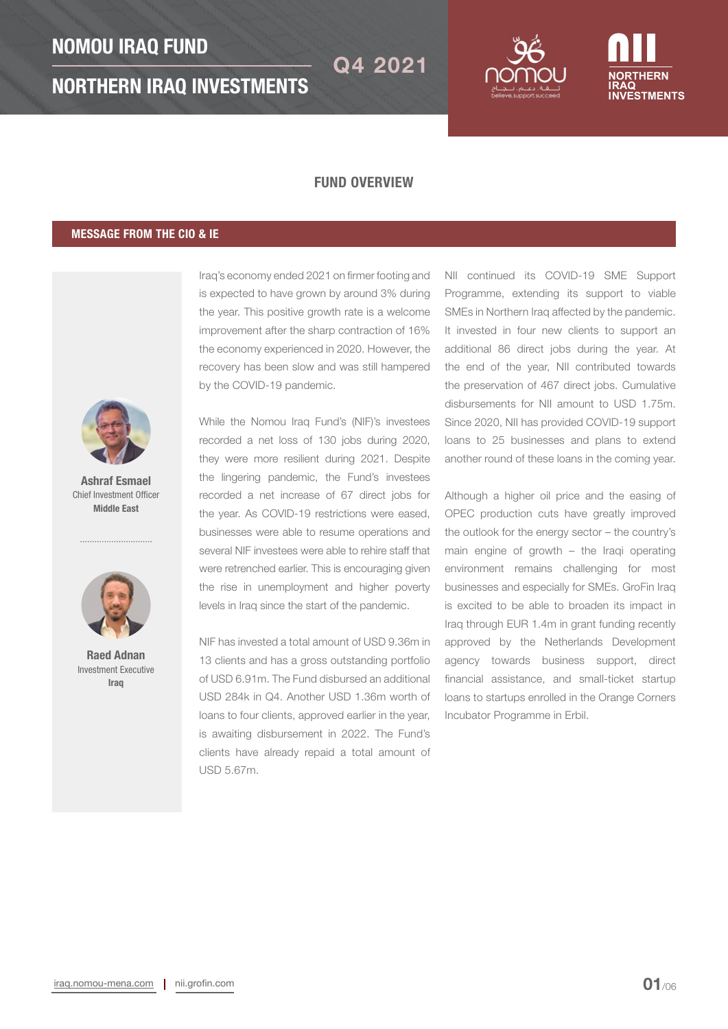



## FUND OVERVIEW

## MESSAGE FROM THE CIO & IE



Ashraf Esmael Chief Investment Officer Middle East



Raed Adnan Investment Executive Iraq

Iraq's economy ended 2021 on firmer footing and is expected to have grown by around 3% during the year. This positive growth rate is a welcome improvement after the sharp contraction of 16% the economy experienced in 2020. However, the recovery has been slow and was still hampered by the COVID-19 pandemic.

While the Nomou Iraq Fund's (NIF)'s investees recorded a net loss of 130 jobs during 2020, they were more resilient during 2021. Despite the lingering pandemic, the Fund's investees recorded a net increase of 67 direct jobs for the year. As COVID-19 restrictions were eased, businesses were able to resume operations and several NIF investees were able to rehire staff that were retrenched earlier. This is encouraging given the rise in unemployment and higher poverty levels in Iraq since the start of the pandemic.

NIF has invested a total amount of USD 9.36m in 13 clients and has a gross outstanding portfolio of USD 6.91m. The Fund disbursed an additional USD 284k in Q4. Another USD 1.36m worth of loans to four clients, approved earlier in the year, is awaiting disbursement in 2022. The Fund's clients have already repaid a total amount of USD 5.67m.

NII continued its COVID-19 SME Support Programme, extending its support to viable SMEs in Northern Iraq affected by the pandemic. It invested in four new clients to support an additional 86 direct jobs during the year. At the end of the year, NII contributed towards the preservation of 467 direct jobs. Cumulative disbursements for NII amount to USD 1.75m. Since 2020, NII has provided COVID-19 support loans to 25 businesses and plans to extend another round of these loans in the coming year.

Although a higher oil price and the easing of OPEC production cuts have greatly improved the outlook for the energy sector – the country's main engine of growth – the Iraqi operating environment remains challenging for most businesses and especially for SMEs. GroFin Iraq is excited to be able to broaden its impact in Iraq through EUR 1.4m in grant funding recently approved by the Netherlands Development agency towards business support, direct financial assistance, and small-ticket startup loans to startups enrolled in the Orange Corners Incubator Programme in Erbil.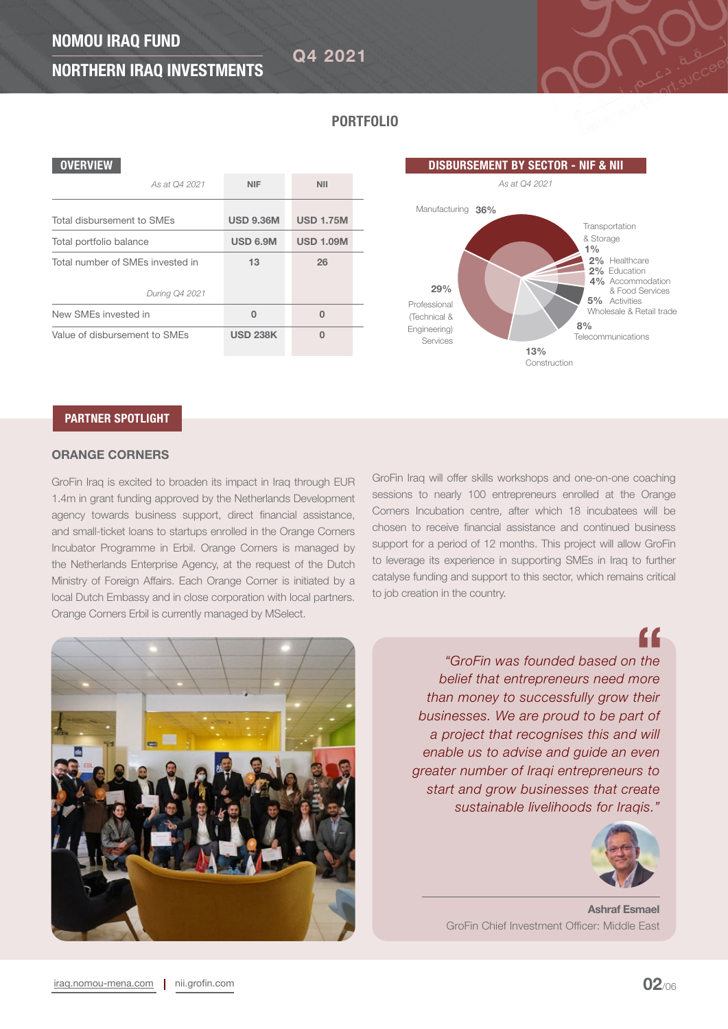Q4 2021

# NORTHERN IRAQ INVESTMENTS

PORTFOLIO

## **OVERVIEW**

| As at Q4 2021                    | <b>NIF</b>       | <b>NII</b>       |
|----------------------------------|------------------|------------------|
| Total disbursement to SMEs       | <b>USD 9.36M</b> | <b>USD 1.75M</b> |
| Total portfolio balance          | <b>USD 6.9M</b>  | <b>USD 1.09M</b> |
| Total number of SMEs invested in | 13               | 26               |
| During Q4 2021                   |                  |                  |
| New SMEs invested in             | 0                | 0                |
| Value of disbursement to SMEs    | <b>USD 238K</b>  | n                |

## PARTNER SPOTLIGHT

## ORANGE CORNERS

GroFin Iraq is excited to broaden its impact in Iraq through EUR 1.4m in grant funding approved by the Netherlands Development agency towards business support, direct financial assistance, and small-ticket loans to startups enrolled in the Orange Corners Incubator Programme in Erbil. Orange Corners is managed by the Netherlands Enterprise Agency, at the request of the Dutch Ministry of Foreign Affairs. Each Orange Corner is initiated by a local Dutch Embassy and in close corporation with local partners. Orange Corners Erbil is currently managed by MSelect.

GroFin Iraq will offer skills workshops and one-on-one coaching sessions to nearly 100 entrepreneurs enrolled at the Orange Corners Incubation centre, after which 18 incubatees will be chosen to receive financial assistance and continued business support for a period of 12 months. This project will allow GroFin to leverage its experience in supporting SMEs in Iraq to further catalyse funding and support to this sector, which remains critical to job creation in the country.

*As at Q4 2021*

29%

Manufacturing 36%

Professional (Technical & Engineering) Services

8%

Construction

13%

**Telecommunications** 

2% Education

2% Healthcare

**Transportation** & Storage

 $1%$ 

5% Activities

4% Accommodation & Food Services

Wholesale & Retail trade

DISBURSEMENT BY SECTOR - NIF & NII

*"GroFin was founded based on the belief that entrepreneurs need more than money to successfully grow their businesses. We are proud to be part of a project that recognises this and will enable us to advise and guide an even greater number of Iraqi entrepreneurs to start and grow businesses that create sustainable livelihoods for Iraqis."* 





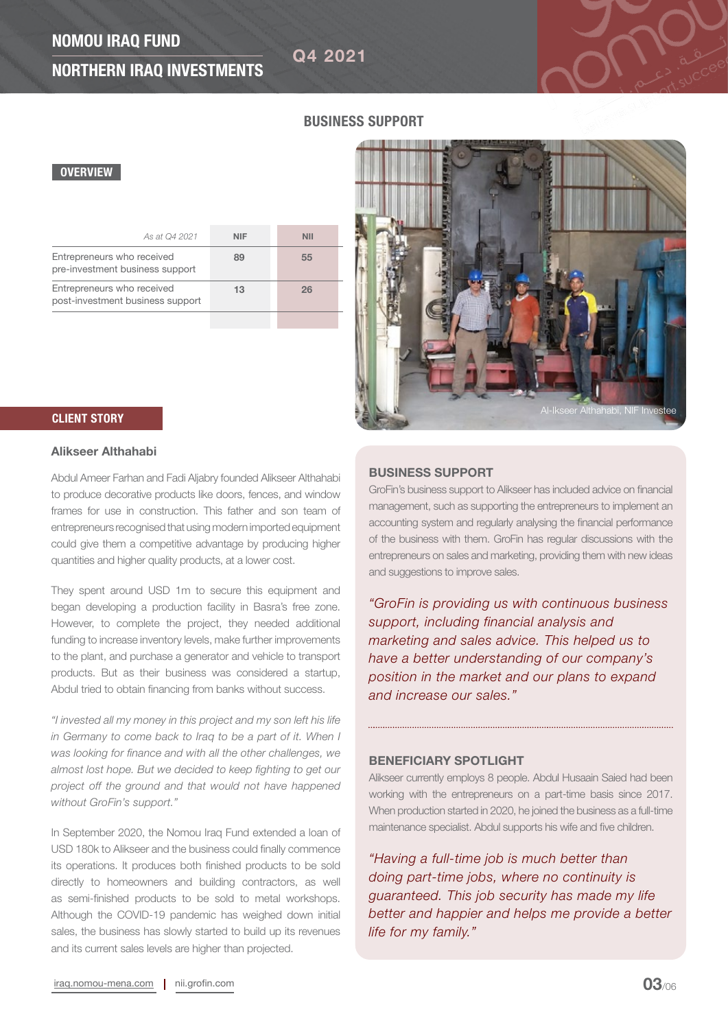# NOMOU IRAQ FUND

Q4 2021

# NORTHERN IRAQ INVESTMENTS

**CLIENT STORY CLIENT STORY CLIENT STORY** 

## BUSINESS SUPPORT

## **OVERVIEW**

| As at Q4 2021                                                  | <b>NIF</b> | NII |
|----------------------------------------------------------------|------------|-----|
| Entrepreneurs who received<br>pre-investment business support  | 89         | 55  |
| Entrepreneurs who received<br>post-investment business support | 13         | 26  |
|                                                                |            |     |

## Alikseer Althahabi

Abdul Ameer Farhan and Fadi Aljabry founded Alikseer Althahabi to produce decorative products like doors, fences, and window frames for use in construction. This father and son team of entrepreneurs recognised that using modern imported equipment could give them a competitive advantage by producing higher quantities and higher quality products, at a lower cost.

They spent around USD 1m to secure this equipment and began developing a production facility in Basra's free zone. However, to complete the project, they needed additional funding to increase inventory levels, make further improvements to the plant, and purchase a generator and vehicle to transport products. But as their business was considered a startup, Abdul tried to obtain financing from banks without success.

*"I invested all my money in this project and my son left his life in Germany to come back to Iraq to be a part of it. When I was looking for finance and with all the other challenges, we almost lost hope. But we decided to keep fighting to get our project off the ground and that would not have happened without GroFin's support."* 

In September 2020, the Nomou Iraq Fund extended a loan of USD 180k to Alikseer and the business could finally commence its operations. It produces both finished products to be sold directly to homeowners and building contractors, as well as semi-finished products to be sold to metal workshops. Although the COVID-19 pandemic has weighed down initial sales, the business has slowly started to build up its revenues and its current sales levels are higher than projected.

#### BUSINESS SUPPORT

GroFin's business support to Alikseer has included advice on financial management, such as supporting the entrepreneurs to implement an accounting system and regularly analysing the financial performance of the business with them. GroFin has regular discussions with the entrepreneurs on sales and marketing, providing them with new ideas and suggestions to improve sales.

*"GroFin is providing us with continuous business support, including financial analysis and marketing and sales advice. This helped us to have a better understanding of our company's position in the market and our plans to expand and increase our sales."*

## BENEFICIARY SPOTLIGHT

Alikseer currently employs 8 people. Abdul Husaain Saied had been working with the entrepreneurs on a part-time basis since 2017. When production started in 2020, he joined the business as a full-time maintenance specialist. Abdul supports his wife and five children.

*"Having a full-time job is much better than doing part-time jobs, where no continuity is guaranteed. This job security has made my life better and happier and helps me provide a better life for my family."*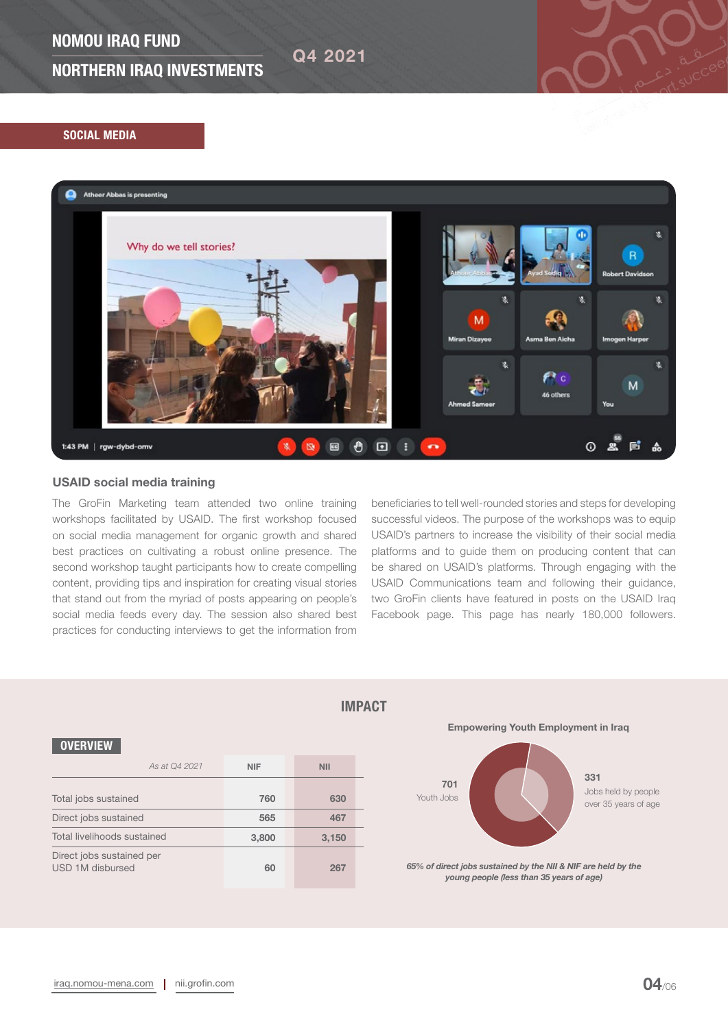## NOMOU IRAQ FUND

NORTHERN IRAQ INVESTMENTS

## SOCIAL MEDIA



Q4 2021

## USAID social media training

The GroFin Marketing team attended two online training workshops facilitated by USAID. The first workshop focused on social media management for organic growth and shared best practices on cultivating a robust online presence. The second workshop taught participants how to create compelling content, providing tips and inspiration for creating visual stories that stand out from the myriad of posts appearing on people's social media feeds every day. The session also shared best practices for conducting interviews to get the information from

beneficiaries to tell well-rounded stories and steps for developing successful videos. The purpose of the workshops was to equip USAID's partners to increase the visibility of their social media platforms and to guide them on producing content that can be shared on USAID's platforms. Through engaging with the USAID Communications team and following their guidance, two GroFin clients have featured in posts on the USAID Iraq Facebook page. This page has nearly 180,000 followers.

| <b>OVERVIEW</b>                               |            |            |  |
|-----------------------------------------------|------------|------------|--|
| As at 04 2021                                 | <b>NIF</b> | <b>NII</b> |  |
| Total jobs sustained                          | 760        | 630        |  |
| Direct jobs sustained                         | 565        | 467        |  |
| Total livelihoods sustained                   | 3,800      | 3,150      |  |
| Direct jobs sustained per<br>USD 1M disbursed | 60         | 267        |  |

## IMPACT

Empowering Youth Employment in Iraq

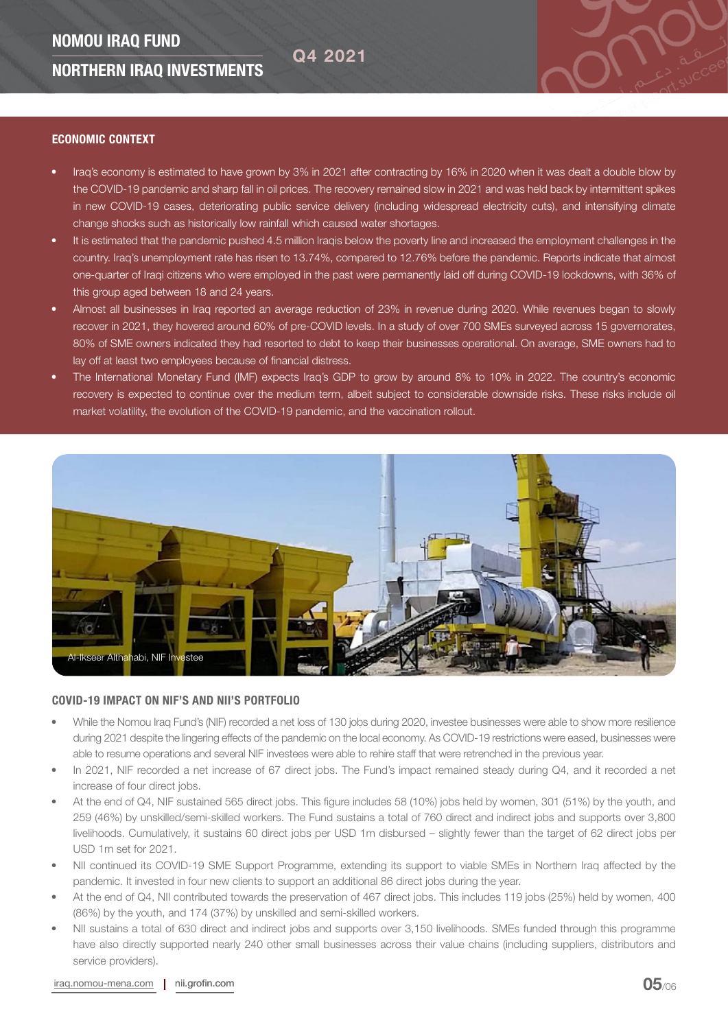#### ECONOMIC CONTEXT

• Iraq's economy is estimated to have grown by 3% in 2021 after contracting by 16% in 2020 when it was dealt a double blow by the COVID-19 pandemic and sharp fall in oil prices. The recovery remained slow in 2021 and was held back by intermittent spikes in new COVID-19 cases, deteriorating public service delivery (including widespread electricity cuts), and intensifying climate change shocks such as historically low rainfall which caused water shortages.

Q4 2021

- It is estimated that the pandemic pushed 4.5 million Iraqis below the poverty line and increased the employment challenges in the country. Iraq's unemployment rate has risen to 13.74%, compared to 12.76% before the pandemic. Reports indicate that almost one-quarter of Iraqi citizens who were employed in the past were permanently laid off during COVID-19 lockdowns, with 36% of this group aged between 18 and 24 years.
- Almost all businesses in Iraq reported an average reduction of 23% in revenue during 2020. While revenues began to slowly recover in 2021, they hovered around 60% of pre-COVID levels. In a study of over 700 SMEs surveyed across 15 governorates, 80% of SME owners indicated they had resorted to debt to keep their businesses operational. On average, SME owners had to lay off at least two employees because of financial distress.
- The International Monetary Fund (IMF) expects Iraq's GDP to grow by around 8% to 10% in 2022. The country's economic recovery is expected to continue over the medium term, albeit subject to considerable downside risks. These risks include oil market volatility, the evolution of the COVID-19 pandemic, and the vaccination rollout.



## COVID-19 IMPACT ON NIF'S AND NII'S PORTFOLIO

- While the Nomou Iraq Fund's (NIF) recorded a net loss of 130 jobs during 2020, investee businesses were able to show more resilience during 2021 despite the lingering effects of the pandemic on the local economy. As COVID-19 restrictions were eased, businesses were able to resume operations and several NIF investees were able to rehire staff that were retrenched in the previous year.
- In 2021, NIF recorded a net increase of 67 direct jobs. The Fund's impact remained steady during Q4, and it recorded a net increase of four direct jobs.
- At the end of Q4, NIF sustained 565 direct jobs. This figure includes 58 (10%) jobs held by women, 301 (51%) by the youth, and 259 (46%) by unskilled/semi-skilled workers. The Fund sustains a total of 760 direct and indirect jobs and supports over 3,800 livelihoods. Cumulatively, it sustains 60 direct jobs per USD 1m disbursed – slightly fewer than the target of 62 direct jobs per USD 1m set for 2021.
- NII continued its COVID-19 SME Support Programme, extending its support to viable SMEs in Northern Iraq affected by the pandemic. It invested in four new clients to support an additional 86 direct jobs during the year.
- At the end of Q4, NII contributed towards the preservation of 467 direct jobs. This includes 119 jobs (25%) held by women, 400 (86%) by the youth, and 174 (37%) by unskilled and semi-skilled workers.
- NII sustains a total of 630 direct and indirect jobs and supports over 3,150 livelihoods. SMEs funded through this programme have also directly supported nearly 240 other small businesses across their value chains (including suppliers, distributors and service providers).